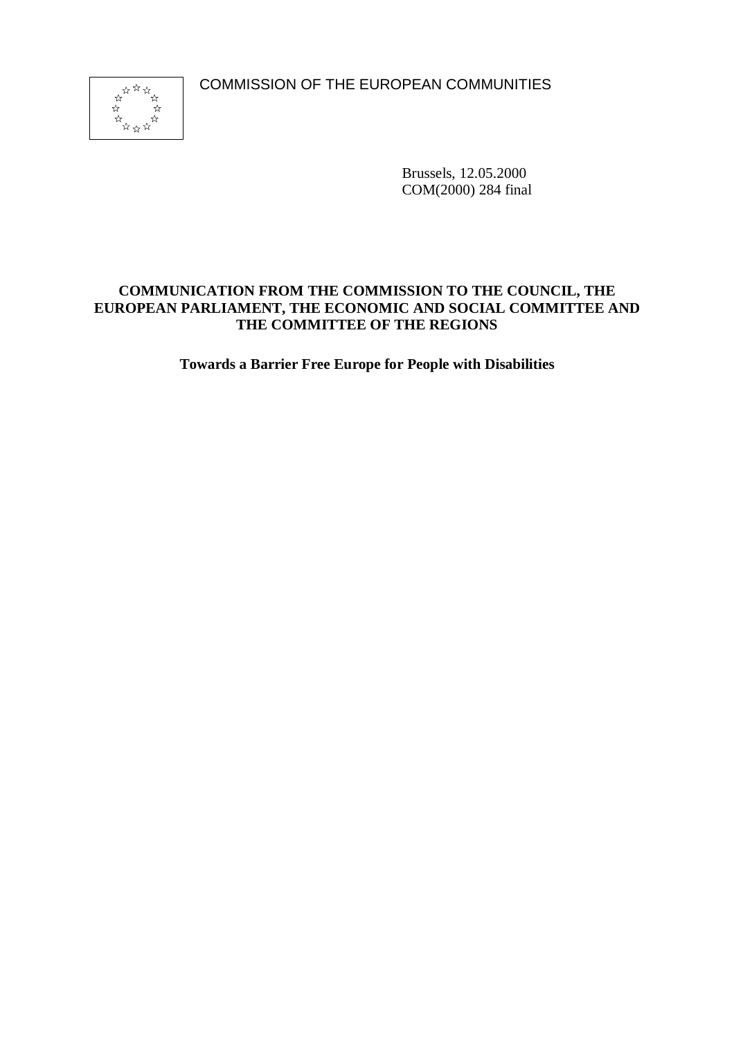COMMISSION OF THE EUROPEAN COMMUNITIES



Brussels, 12.05.2000 COM(2000) 284 final

## **COMMUNICATION FROM THE COMMISSION TO THE COUNCIL, THE EUROPEAN PARLIAMENT, THE ECONOMIC AND SOCIAL COMMITTEE AND THE COMMITTEE OF THE REGIONS**

**Towards a Barrier Free Europe for People with Disabilities**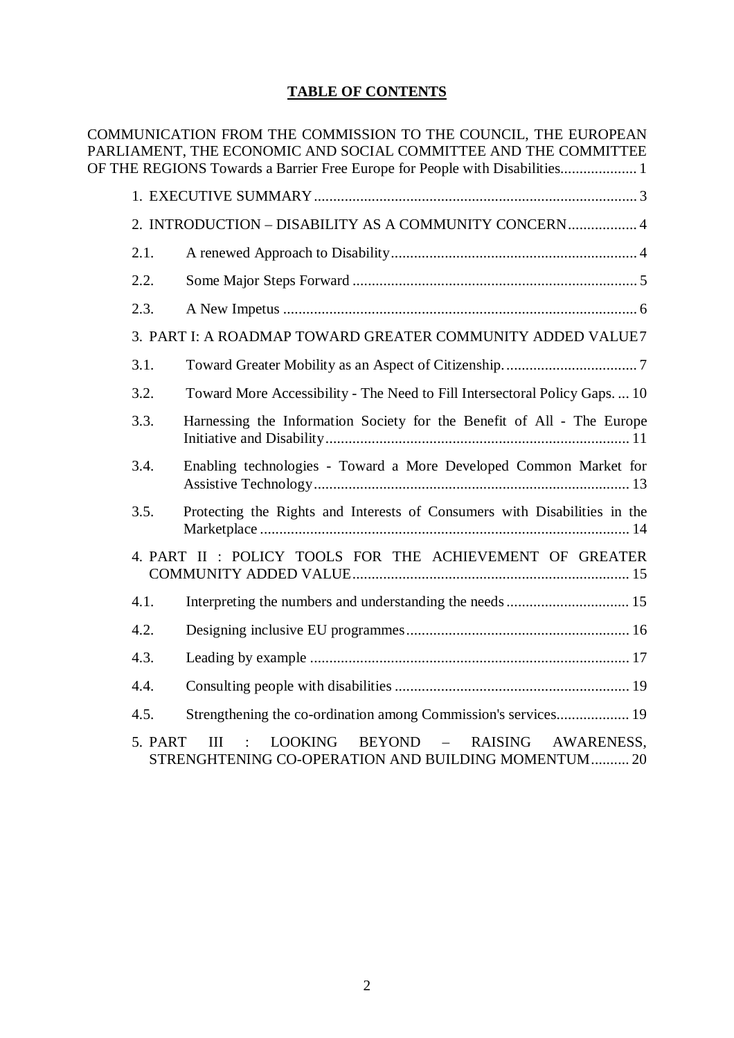# **TABLE OF CONTENTS**

COMMUNICATION FROM THE COMMISSION TO THE COUNCIL, THE EUROPEAN PARLIAMENT, THE ECONOMIC AND SOCIAL COMMITTEE AND THE COMMITTEE OF THE REGIONS Towards a Barrier Free Europe for People with Disabilities.................... 1

| 2. INTRODUCTION - DISABILITY AS A COMMUNITY CONCERN 4                                                                                      |
|--------------------------------------------------------------------------------------------------------------------------------------------|
| 2.1.                                                                                                                                       |
| 2.2.                                                                                                                                       |
| 2.3.                                                                                                                                       |
| 3. PART I: A ROADMAP TOWARD GREATER COMMUNITY ADDED VALUE7                                                                                 |
| 3.1.                                                                                                                                       |
| Toward More Accessibility - The Need to Fill Intersectoral Policy Gaps.  10<br>3.2.                                                        |
| 3.3.<br>Harnessing the Information Society for the Benefit of All - The Europe                                                             |
| 3.4.<br>Enabling technologies - Toward a More Developed Common Market for                                                                  |
| Protecting the Rights and Interests of Consumers with Disabilities in the<br>3.5.                                                          |
| 4. PART II : POLICY TOOLS FOR THE ACHIEVEMENT OF GREATER                                                                                   |
| 4.1.                                                                                                                                       |
| 4.2.                                                                                                                                       |
| 4.3.                                                                                                                                       |
| 4.4.                                                                                                                                       |
| 4.5.                                                                                                                                       |
| BEYOND – RAISING<br><b>LOOKING</b><br>5 PART<br>Ш<br>$\sim$ 100 $\pm$<br>AWARENESS,<br>STRENGHTENING CO-OPERATION AND BUILDING MOMENTUM 20 |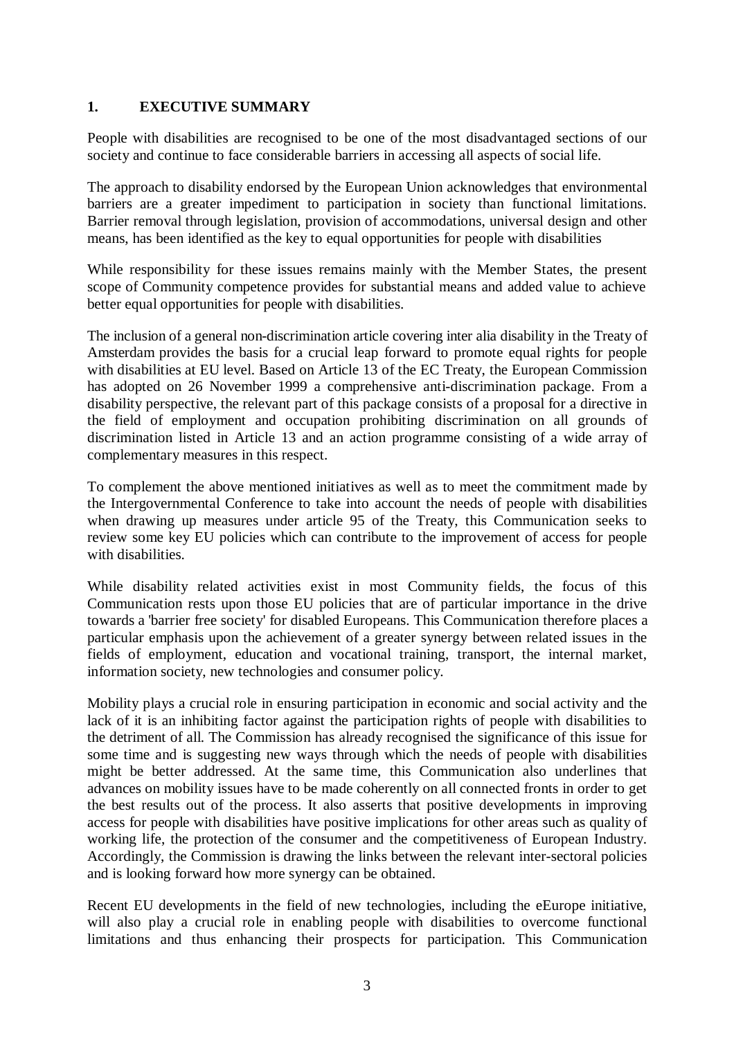## **1. EXECUTIVE SUMMARY**

People with disabilities are recognised to be one of the most disadvantaged sections of our society and continue to face considerable barriers in accessing all aspects of social life.

The approach to disability endorsed by the European Union acknowledges that environmental barriers are a greater impediment to participation in society than functional limitations. Barrier removal through legislation, provision of accommodations, universal design and other means, has been identified as the key to equal opportunities for people with disabilities

While responsibility for these issues remains mainly with the Member States, the present scope of Community competence provides for substantial means and added value to achieve better equal opportunities for people with disabilities.

The inclusion of a general non-discrimination article covering inter alia disability in the Treaty of Amsterdam provides the basis for a crucial leap forward to promote equal rights for people with disabilities at EU level. Based on Article 13 of the EC Treaty, the European Commission has adopted on 26 November 1999 a comprehensive anti-discrimination package. From a disability perspective, the relevant part of this package consists of a proposal for a directive in the field of employment and occupation prohibiting discrimination on all grounds of discrimination listed in Article 13 and an action programme consisting of a wide array of complementary measures in this respect.

To complement the above mentioned initiatives as well as to meet the commitment made by the Intergovernmental Conference to take into account the needs of people with disabilities when drawing up measures under article 95 of the Treaty, this Communication seeks to review some key EU policies which can contribute to the improvement of access for people with disabilities.

While disability related activities exist in most Community fields, the focus of this Communication rests upon those EU policies that are of particular importance in the drive towards a 'barrier free society' for disabled Europeans. This Communication therefore places a particular emphasis upon the achievement of a greater synergy between related issues in the fields of employment, education and vocational training, transport, the internal market, information society, new technologies and consumer policy.

Mobility plays a crucial role in ensuring participation in economic and social activity and the lack of it is an inhibiting factor against the participation rights of people with disabilities to the detriment of all. The Commission has already recognised the significance of this issue for some time and is suggesting new ways through which the needs of people with disabilities might be better addressed. At the same time, this Communication also underlines that advances on mobility issues have to be made coherently on all connected fronts in order to get the best results out of the process. It also asserts that positive developments in improving access for people with disabilities have positive implications for other areas such as quality of working life, the protection of the consumer and the competitiveness of European Industry. Accordingly, the Commission is drawing the links between the relevant inter-sectoral policies and is looking forward how more synergy can be obtained.

Recent EU developments in the field of new technologies, including the eEurope initiative, will also play a crucial role in enabling people with disabilities to overcome functional limitations and thus enhancing their prospects for participation. This Communication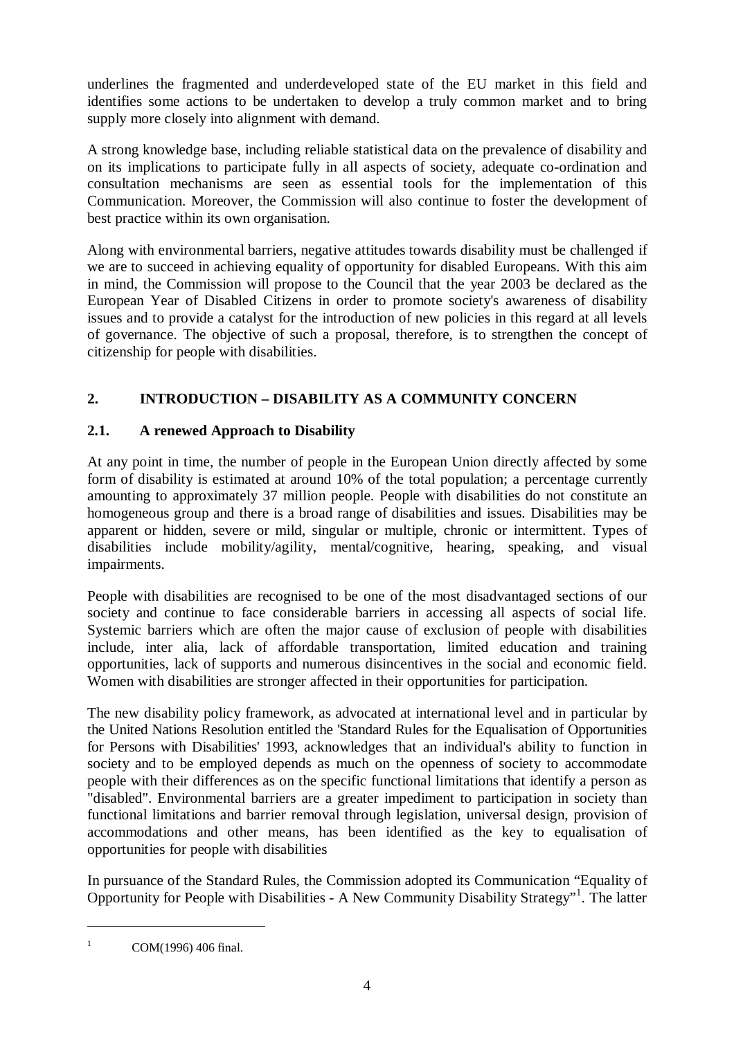underlines the fragmented and underdeveloped state of the EU market in this field and identifies some actions to be undertaken to develop a truly common market and to bring supply more closely into alignment with demand.

A strong knowledge base, including reliable statistical data on the prevalence of disability and on its implications to participate fully in all aspects of society, adequate co-ordination and consultation mechanisms are seen as essential tools for the implementation of this Communication. Moreover, the Commission will also continue to foster the development of best practice within its own organisation.

Along with environmental barriers, negative attitudes towards disability must be challenged if we are to succeed in achieving equality of opportunity for disabled Europeans. With this aim in mind, the Commission will propose to the Council that the year 2003 be declared as the European Year of Disabled Citizens in order to promote society's awareness of disability issues and to provide a catalyst for the introduction of new policies in this regard at all levels of governance. The objective of such a proposal, therefore, is to strengthen the concept of citizenship for people with disabilities.

# **2. INTRODUCTION – DISABILITY AS A COMMUNITY CONCERN**

# **2.1. A renewed Approach to Disability**

At any point in time, the number of people in the European Union directly affected by some form of disability is estimated at around 10% of the total population; a percentage currently amounting to approximately 37 million people. People with disabilities do not constitute an homogeneous group and there is a broad range of disabilities and issues. Disabilities may be apparent or hidden, severe or mild, singular or multiple, chronic or intermittent. Types of disabilities include mobility/agility, mental/cognitive, hearing, speaking, and visual impairments.

People with disabilities are recognised to be one of the most disadvantaged sections of our society and continue to face considerable barriers in accessing all aspects of social life. Systemic barriers which are often the major cause of exclusion of people with disabilities include, inter alia, lack of affordable transportation, limited education and training opportunities, lack of supports and numerous disincentives in the social and economic field. Women with disabilities are stronger affected in their opportunities for participation.

The new disability policy framework, as advocated at international level and in particular by the United Nations Resolution entitled the 'Standard Rules for the Equalisation of Opportunities for Persons with Disabilities' 1993, acknowledges that an individual's ability to function in society and to be employed depends as much on the openness of society to accommodate people with their differences as on the specific functional limitations that identify a person as "disabled". Environmental barriers are a greater impediment to participation in society than functional limitations and barrier removal through legislation, universal design, provision of accommodations and other means, has been identified as the key to equalisation of opportunities for people with disabilities

In pursuance of the Standard Rules, the Commission adopted its Communication "Equality of Opportunity for People with Disabilities - A New Community Disability Strategy"<sup>1</sup> . The latter

<sup>1</sup> COM(1996) 406 final.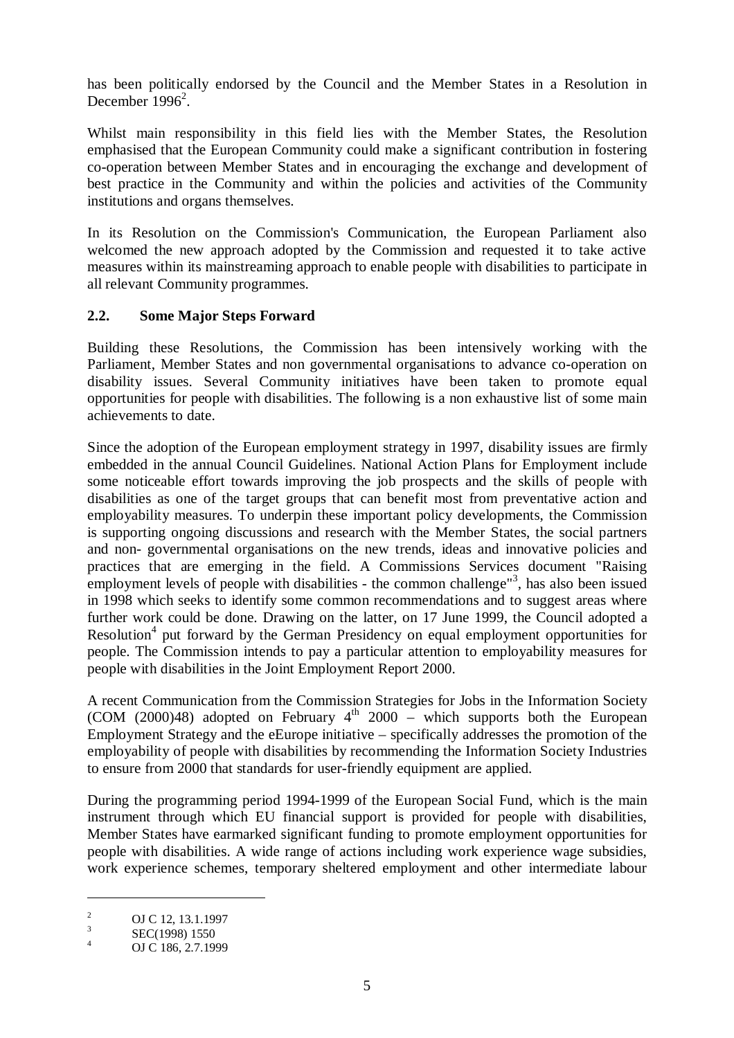has been politically endorsed by the Council and the Member States in a Resolution in December 1996<sup>2</sup>.

Whilst main responsibility in this field lies with the Member States, the Resolution emphasised that the European Community could make a significant contribution in fostering co-operation between Member States and in encouraging the exchange and development of best practice in the Community and within the policies and activities of the Community institutions and organs themselves.

In its Resolution on the Commission's Communication, the European Parliament also welcomed the new approach adopted by the Commission and requested it to take active measures within its mainstreaming approach to enable people with disabilities to participate in all relevant Community programmes.

## **2.2. Some Major Steps Forward**

Building these Resolutions, the Commission has been intensively working with the Parliament, Member States and non governmental organisations to advance co-operation on disability issues. Several Community initiatives have been taken to promote equal opportunities for people with disabilities. The following is a non exhaustive list of some main achievements to date.

Since the adoption of the European employment strategy in 1997, disability issues are firmly embedded in the annual Council Guidelines. National Action Plans for Employment include some noticeable effort towards improving the job prospects and the skills of people with disabilities as one of the target groups that can benefit most from preventative action and employability measures. To underpin these important policy developments, the Commission is supporting ongoing discussions and research with the Member States, the social partners and non- governmental organisations on the new trends, ideas and innovative policies and practices that are emerging in the field. A Commissions Services document "Raising employment levels of people with disabilities - the common challenge"<sup>3</sup>, has also been issued in 1998 which seeks to identify some common recommendations and to suggest areas where further work could be done. Drawing on the latter, on 17 June 1999, the Council adopted a Resolution<sup>4</sup> put forward by the German Presidency on equal employment opportunities for people. The Commission intends to pay a particular attention to employability measures for people with disabilities in the Joint Employment Report 2000.

A recent Communication from the Commission Strategies for Jobs in the Information Society (COM (2000)48) adopted on February  $4<sup>th</sup>$  2000 – which supports both the European Employment Strategy and the eEurope initiative – specifically addresses the promotion of the employability of people with disabilities by recommending the Information Society Industries to ensure from 2000 that standards for user-friendly equipment are applied.

During the programming period 1994-1999 of the European Social Fund, which is the main instrument through which EU financial support is provided for people with disabilities, Member States have earmarked significant funding to promote employment opportunities for people with disabilities. A wide range of actions including work experience wage subsidies, work experience schemes, temporary sheltered employment and other intermediate labour

<sup>&</sup>lt;sup>2</sup> OJ C 12, 13.1.1997<br>
<sup>3</sup> SEC(1998) 1550<br>
<sup>4</sup> OJ C 186, 2.7.1999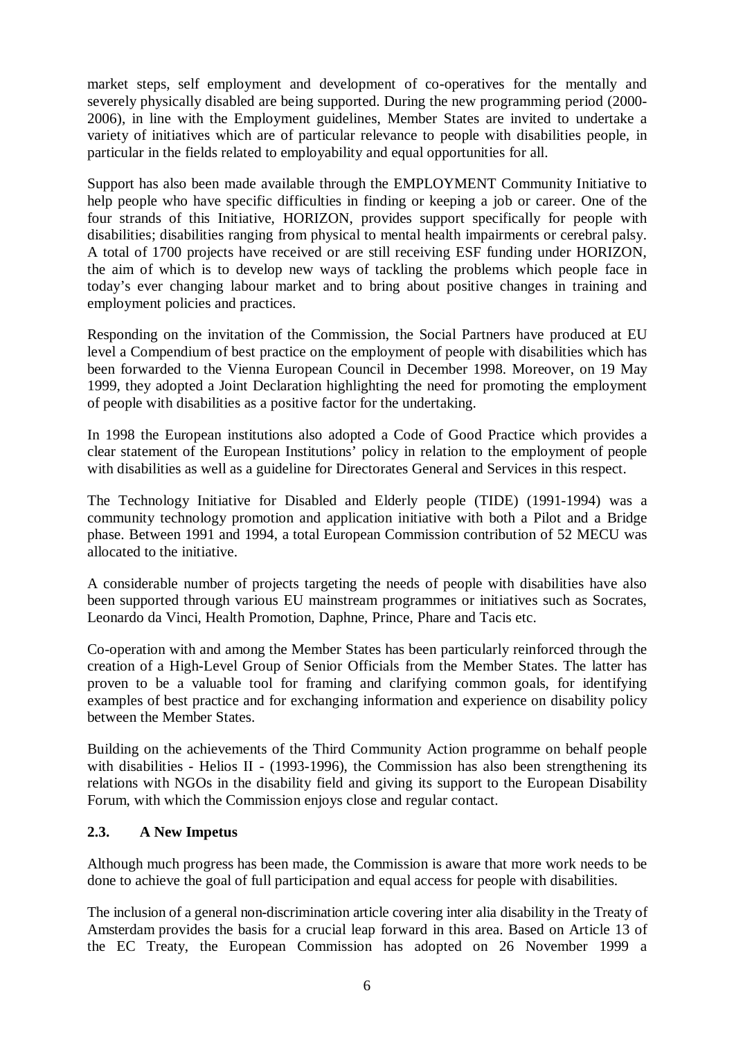market steps, self employment and development of co-operatives for the mentally and severely physically disabled are being supported. During the new programming period (2000- 2006), in line with the Employment guidelines, Member States are invited to undertake a variety of initiatives which are of particular relevance to people with disabilities people, in particular in the fields related to employability and equal opportunities for all.

Support has also been made available through the EMPLOYMENT Community Initiative to help people who have specific difficulties in finding or keeping a job or career. One of the four strands of this Initiative, HORIZON, provides support specifically for people with disabilities; disabilities ranging from physical to mental health impairments or cerebral palsy. A total of 1700 projects have received or are still receiving ESF funding under HORIZON, the aim of which is to develop new ways of tackling the problems which people face in today's ever changing labour market and to bring about positive changes in training and employment policies and practices.

Responding on the invitation of the Commission, the Social Partners have produced at EU level a Compendium of best practice on the employment of people with disabilities which has been forwarded to the Vienna European Council in December 1998. Moreover, on 19 May 1999, they adopted a Joint Declaration highlighting the need for promoting the employment of people with disabilities as a positive factor for the undertaking.

In 1998 the European institutions also adopted a Code of Good Practice which provides a clear statement of the European Institutions' policy in relation to the employment of people with disabilities as well as a guideline for Directorates General and Services in this respect.

The Technology Initiative for Disabled and Elderly people (TIDE) (1991-1994) was a community technology promotion and application initiative with both a Pilot and a Bridge phase. Between 1991 and 1994, a total European Commission contribution of 52 MECU was allocated to the initiative.

A considerable number of projects targeting the needs of people with disabilities have also been supported through various EU mainstream programmes or initiatives such as Socrates, Leonardo da Vinci, Health Promotion, Daphne, Prince, Phare and Tacis etc.

Co-operation with and among the Member States has been particularly reinforced through the creation of a High-Level Group of Senior Officials from the Member States. The latter has proven to be a valuable tool for framing and clarifying common goals, for identifying examples of best practice and for exchanging information and experience on disability policy between the Member States.

Building on the achievements of the Third Community Action programme on behalf people with disabilities - Helios II - (1993-1996), the Commission has also been strengthening its relations with NGOs in the disability field and giving its support to the European Disability Forum, with which the Commission enjoys close and regular contact.

## **2.3. A New Impetus**

Although much progress has been made, the Commission is aware that more work needs to be done to achieve the goal of full participation and equal access for people with disabilities.

The inclusion of a general non-discrimination article covering inter alia disability in the Treaty of Amsterdam provides the basis for a crucial leap forward in this area. Based on Article 13 of the EC Treaty, the European Commission has adopted on 26 November 1999 a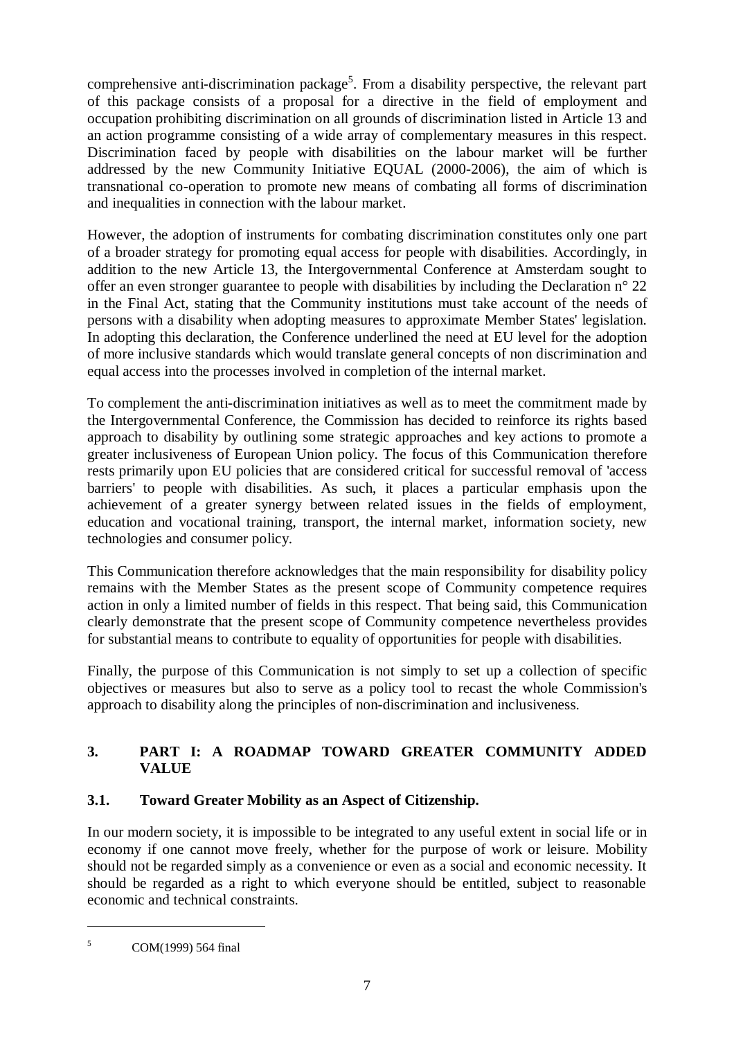comprehensive anti-discrimination package<sup>5</sup>. From a disability perspective, the relevant part of this package consists of a proposal for a directive in the field of employment and occupation prohibiting discrimination on all grounds of discrimination listed in Article 13 and an action programme consisting of a wide array of complementary measures in this respect. Discrimination faced by people with disabilities on the labour market will be further addressed by the new Community Initiative EQUAL (2000-2006), the aim of which is transnational co-operation to promote new means of combating all forms of discrimination and inequalities in connection with the labour market.

However, the adoption of instruments for combating discrimination constitutes only one part of a broader strategy for promoting equal access for people with disabilities. Accordingly, in addition to the new Article 13, the Intergovernmental Conference at Amsterdam sought to offer an even stronger guarantee to people with disabilities by including the Declaration n° 22 in the Final Act, stating that the Community institutions must take account of the needs of persons with a disability when adopting measures to approximate Member States' legislation. In adopting this declaration, the Conference underlined the need at EU level for the adoption of more inclusive standards which would translate general concepts of non discrimination and equal access into the processes involved in completion of the internal market.

To complement the anti-discrimination initiatives as well as to meet the commitment made by the Intergovernmental Conference, the Commission has decided to reinforce its rights based approach to disability by outlining some strategic approaches and key actions to promote a greater inclusiveness of European Union policy. The focus of this Communication therefore rests primarily upon EU policies that are considered critical for successful removal of 'access barriers' to people with disabilities. As such, it places a particular emphasis upon the achievement of a greater synergy between related issues in the fields of employment, education and vocational training, transport, the internal market, information society, new technologies and consumer policy.

This Communication therefore acknowledges that the main responsibility for disability policy remains with the Member States as the present scope of Community competence requires action in only a limited number of fields in this respect. That being said, this Communication clearly demonstrate that the present scope of Community competence nevertheless provides for substantial means to contribute to equality of opportunities for people with disabilities.

Finally, the purpose of this Communication is not simply to set up a collection of specific objectives or measures but also to serve as a policy tool to recast the whole Commission's approach to disability along the principles of non-discrimination and inclusiveness.

# **3. PART I: A ROADMAP TOWARD GREATER COMMUNITY ADDED VALUE**

# **3.1. Toward Greater Mobility as an Aspect of Citizenship.**

In our modern society, it is impossible to be integrated to any useful extent in social life or in economy if one cannot move freely, whether for the purpose of work or leisure. Mobility should not be regarded simply as a convenience or even as a social and economic necessity. It should be regarded as a right to which everyone should be entitled, subject to reasonable economic and technical constraints.

 $5$  COM(1999) 564 final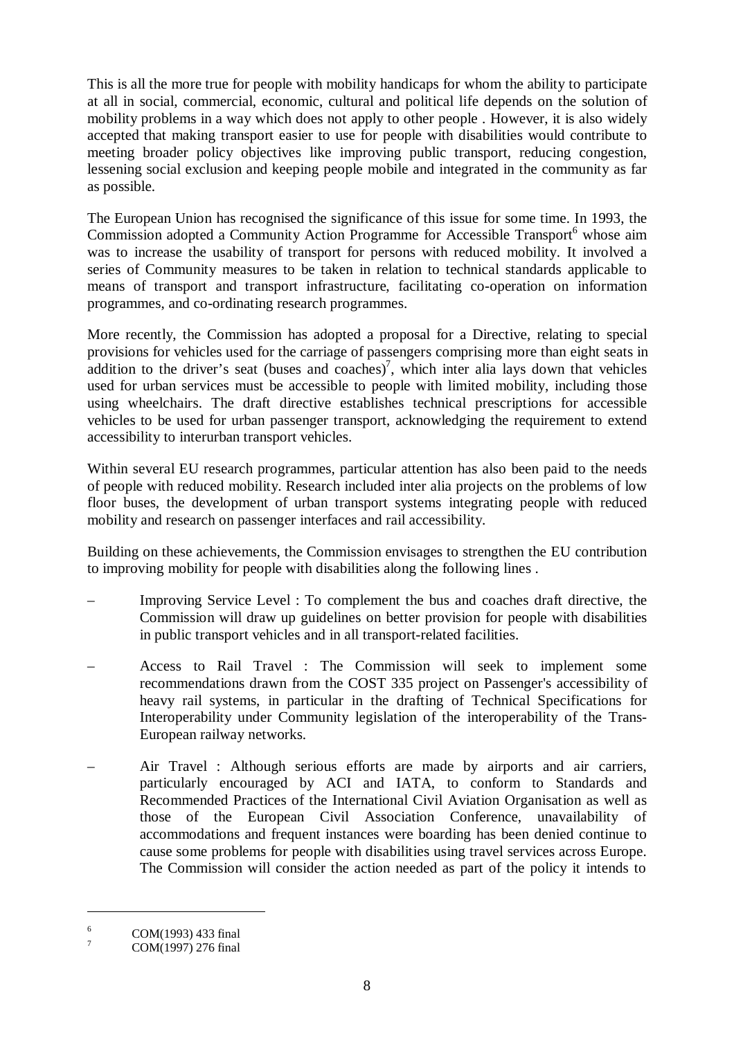This is all the more true for people with mobility handicaps for whom the ability to participate at all in social, commercial, economic, cultural and political life depends on the solution of mobility problems in a way which does not apply to other people . However, it is also widely accepted that making transport easier to use for people with disabilities would contribute to meeting broader policy objectives like improving public transport, reducing congestion, lessening social exclusion and keeping people mobile and integrated in the community as far as possible.

The European Union has recognised the significance of this issue for some time. In 1993, the Commission adopted a Community Action Programme for Accessible Transport<sup>6</sup> whose aim was to increase the usability of transport for persons with reduced mobility. It involved a series of Community measures to be taken in relation to technical standards applicable to means of transport and transport infrastructure, facilitating co-operation on information programmes, and co-ordinating research programmes.

More recently, the Commission has adopted a proposal for a Directive, relating to special provisions for vehicles used for the carriage of passengers comprising more than eight seats in addition to the driver's seat (buses and coaches)<sup>7</sup>, which inter alia lays down that vehicles used for urban services must be accessible to people with limited mobility, including those using wheelchairs. The draft directive establishes technical prescriptions for accessible vehicles to be used for urban passenger transport, acknowledging the requirement to extend accessibility to interurban transport vehicles.

Within several EU research programmes, particular attention has also been paid to the needs of people with reduced mobility. Research included inter alia projects on the problems of low floor buses, the development of urban transport systems integrating people with reduced mobility and research on passenger interfaces and rail accessibility.

Building on these achievements, the Commission envisages to strengthen the EU contribution to improving mobility for people with disabilities along the following lines .

- Improving Service Level : To complement the bus and coaches draft directive, the Commission will draw up guidelines on better provision for people with disabilities in public transport vehicles and in all transport-related facilities.
- Access to Rail Travel : The Commission will seek to implement some recommendations drawn from the COST 335 project on Passenger's accessibility of heavy rail systems, in particular in the drafting of Technical Specifications for Interoperability under Community legislation of the interoperability of the Trans-European railway networks.
- Air Travel : Although serious efforts are made by airports and air carriers, particularly encouraged by ACI and IATA, to conform to Standards and Recommended Practices of the International Civil Aviation Organisation as well as those of the European Civil Association Conference, unavailability of accommodations and frequent instances were boarding has been denied continue to cause some problems for people with disabilities using travel services across Europe. The Commission will consider the action needed as part of the policy it intends to

 $^{6}$  COM(1993) 433 final<br><sup>7</sup> COM(1997) 276 final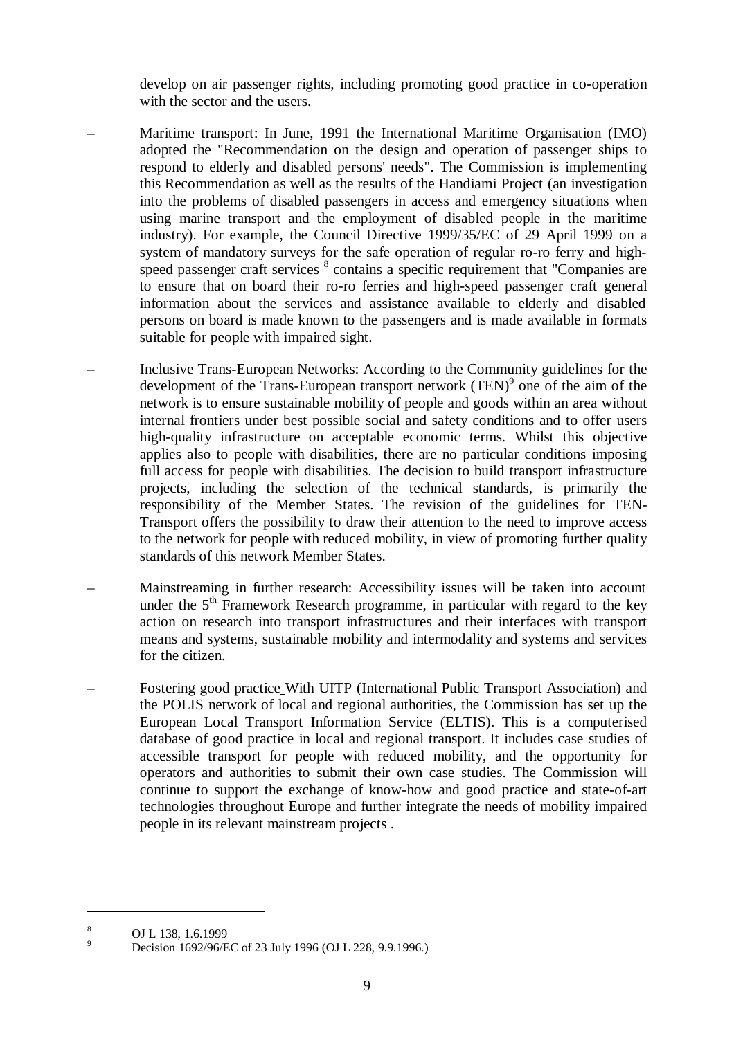develop on air passenger rights, including promoting good practice in co-operation with the sector and the users.

- Maritime transport: In June, 1991 the International Maritime Organisation (IMO) adopted the "Recommendation on the design and operation of passenger ships to respond to elderly and disabled persons' needs". The Commission is implementing this Recommendation as well as the results of the Handiami Project (an investigation into the problems of disabled passengers in access and emergency situations when using marine transport and the employment of disabled people in the maritime industry). For example, the Council Directive 1999/35/EC of 29 April 1999 on a system of mandatory surveys for the safe operation of regular ro-ro ferry and highspeed passenger craft services <sup>8</sup> contains a specific requirement that "Companies are to ensure that on board their ro-ro ferries and high-speed passenger craft general information about the services and assistance available to elderly and disabled persons on board is made known to the passengers and is made available in formats suitable for people with impaired sight.
- Inclusive Trans-European Networks: According to the Community guidelines for the development of the Trans-European transport network  $(TEN)^9$  one of the aim of the network is to ensure sustainable mobility of people and goods within an area without internal frontiers under best possible social and safety conditions and to offer users high-quality infrastructure on acceptable economic terms. Whilst this objective applies also to people with disabilities, there are no particular conditions imposing full access for people with disabilities. The decision to build transport infrastructure projects, including the selection of the technical standards, is primarily the responsibility of the Member States. The revision of the guidelines for TEN-Transport offers the possibility to draw their attention to the need to improve access to the network for people with reduced mobility, in view of promoting further quality standards of this network Member States.
- Mainstreaming in further research: Accessibility issues will be taken into account under the  $5<sup>th</sup>$  Framework Research programme, in particular with regard to the key action on research into transport infrastructures and their interfaces with transport means and systems, sustainable mobility and intermodality and systems and services for the citizen.
- Fostering good practice With UITP (International Public Transport Association) and the POLIS network of local and regional authorities, the Commission has set up the European Local Transport Information Service (ELTIS). This is a computerised database of good practice in local and regional transport. It includes case studies of accessible transport for people with reduced mobility, and the opportunity for operators and authorities to submit their own case studies. The Commission will continue to support the exchange of know-how and good practice and state-of-art technologies throughout Europe and further integrate the needs of mobility impaired people in its relevant mainstream projects .

<sup>&</sup>lt;sup>8</sup> OJ L 138, 1.6.1999<br>
Decision 1692/96/EC of 23 July 1996 (OJ L 228, 9.9.1996.)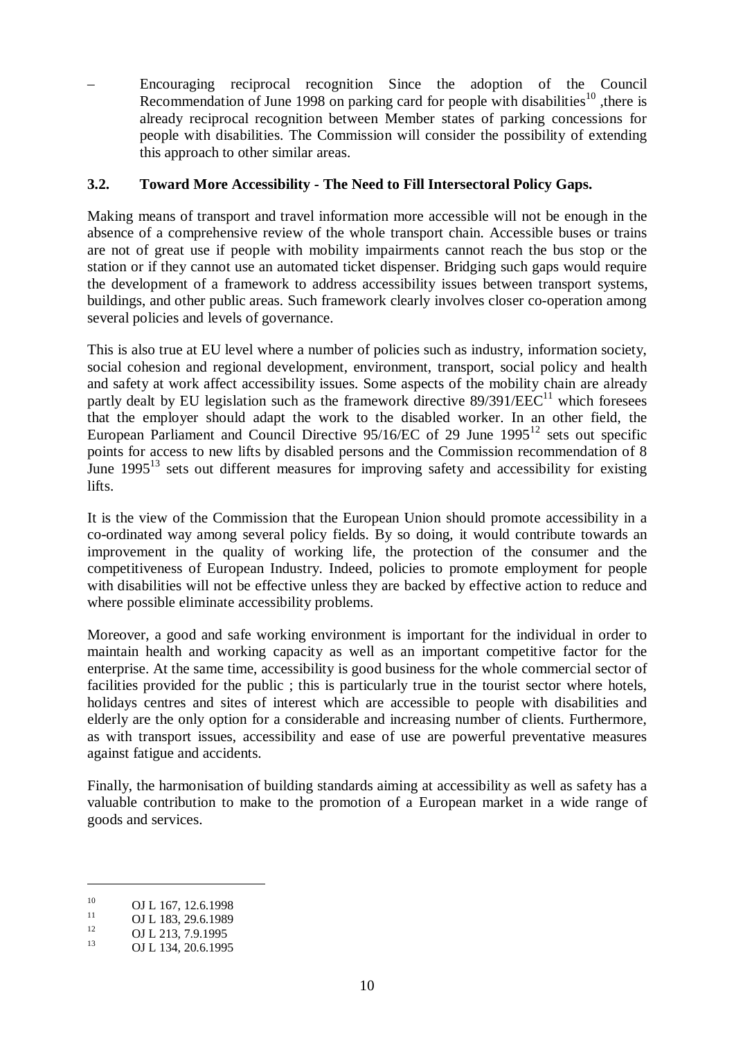– Encouraging reciprocal recognition Since the adoption of the Council Recommendation of June 1998 on parking card for people with disabilities<sup>10</sup>, there is already reciprocal recognition between Member states of parking concessions for people with disabilities. The Commission will consider the possibility of extending this approach to other similar areas.

#### **3.2. Toward More Accessibility - The Need to Fill Intersectoral Policy Gaps.**

Making means of transport and travel information more accessible will not be enough in the absence of a comprehensive review of the whole transport chain. Accessible buses or trains are not of great use if people with mobility impairments cannot reach the bus stop or the station or if they cannot use an automated ticket dispenser. Bridging such gaps would require the development of a framework to address accessibility issues between transport systems, buildings, and other public areas. Such framework clearly involves closer co-operation among several policies and levels of governance.

This is also true at EU level where a number of policies such as industry, information society, social cohesion and regional development, environment, transport, social policy and health and safety at work affect accessibility issues. Some aspects of the mobility chain are already partly dealt by EU legislation such as the framework directive  $89/391/EEC^{11}$  which foresees that the employer should adapt the work to the disabled worker. In an other field, the European Parliament and Council Directive  $95/16/EC$  of 29 June  $1995^{12}$  sets out specific points for access to new lifts by disabled persons and the Commission recommendation of 8 June  $1995^{13}$  sets out different measures for improving safety and accessibility for existing lifts.

It is the view of the Commission that the European Union should promote accessibility in a co-ordinated way among several policy fields. By so doing, it would contribute towards an improvement in the quality of working life, the protection of the consumer and the competitiveness of European Industry. Indeed, policies to promote employment for people with disabilities will not be effective unless they are backed by effective action to reduce and where possible eliminate accessibility problems.

Moreover, a good and safe working environment is important for the individual in order to maintain health and working capacity as well as an important competitive factor for the enterprise. At the same time, accessibility is good business for the whole commercial sector of facilities provided for the public ; this is particularly true in the tourist sector where hotels, holidays centres and sites of interest which are accessible to people with disabilities and elderly are the only option for a considerable and increasing number of clients. Furthermore, as with transport issues, accessibility and ease of use are powerful preventative measures against fatigue and accidents.

Finally, the harmonisation of building standards aiming at accessibility as well as safety has a valuable contribution to make to the promotion of a European market in a wide range of goods and services.

<sup>10</sup> OJ L 167, 12.6.1998<br>
11 OJ L 183, 29.6.1989<br>
13 OJ L 134, 20.6.1995<br>
13 OJ L 134, 20.6.1995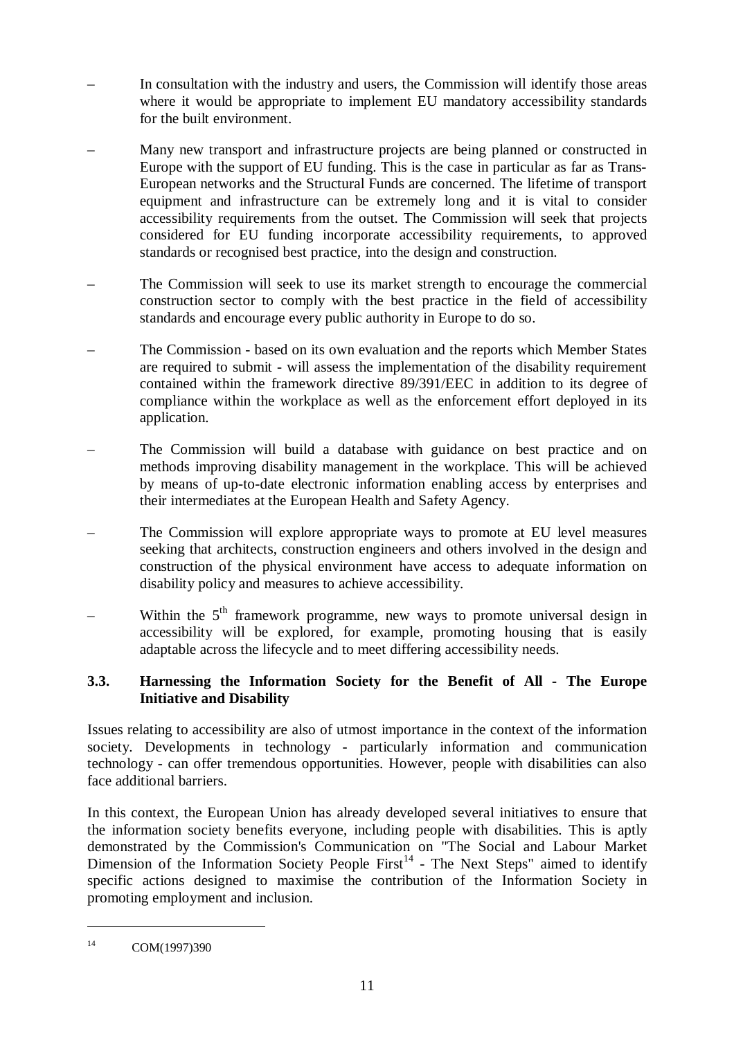- In consultation with the industry and users, the Commission will identify those areas where it would be appropriate to implement EU mandatory accessibility standards for the built environment.
- Many new transport and infrastructure projects are being planned or constructed in Europe with the support of EU funding. This is the case in particular as far as Trans-European networks and the Structural Funds are concerned. The lifetime of transport equipment and infrastructure can be extremely long and it is vital to consider accessibility requirements from the outset. The Commission will seek that projects considered for EU funding incorporate accessibility requirements, to approved standards or recognised best practice, into the design and construction.
- The Commission will seek to use its market strength to encourage the commercial construction sector to comply with the best practice in the field of accessibility standards and encourage every public authority in Europe to do so.
- The Commission based on its own evaluation and the reports which Member States are required to submit - will assess the implementation of the disability requirement contained within the framework directive 89/391/EEC in addition to its degree of compliance within the workplace as well as the enforcement effort deployed in its application.
- The Commission will build a database with guidance on best practice and on methods improving disability management in the workplace. This will be achieved by means of up-to-date electronic information enabling access by enterprises and their intermediates at the European Health and Safety Agency.
- The Commission will explore appropriate ways to promote at EU level measures seeking that architects, construction engineers and others involved in the design and construction of the physical environment have access to adequate information on disability policy and measures to achieve accessibility.
- Within the  $5<sup>th</sup>$  framework programme, new ways to promote universal design in accessibility will be explored, for example, promoting housing that is easily adaptable across the lifecycle and to meet differing accessibility needs.

## **3.3. Harnessing the Information Society for the Benefit of All - The Europe Initiative and Disability**

Issues relating to accessibility are also of utmost importance in the context of the information society. Developments in technology - particularly information and communication technology - can offer tremendous opportunities. However, people with disabilities can also face additional barriers.

In this context, the European Union has already developed several initiatives to ensure that the information society benefits everyone, including people with disabilities. This is aptly demonstrated by the Commission's Communication on "The Social and Labour Market Dimension of the Information Society People First<sup>14</sup> - The Next Steps" aimed to identify specific actions designed to maximise the contribution of the Information Society in promoting employment and inclusion.

<sup>&</sup>lt;sup>14</sup> COM(1997)390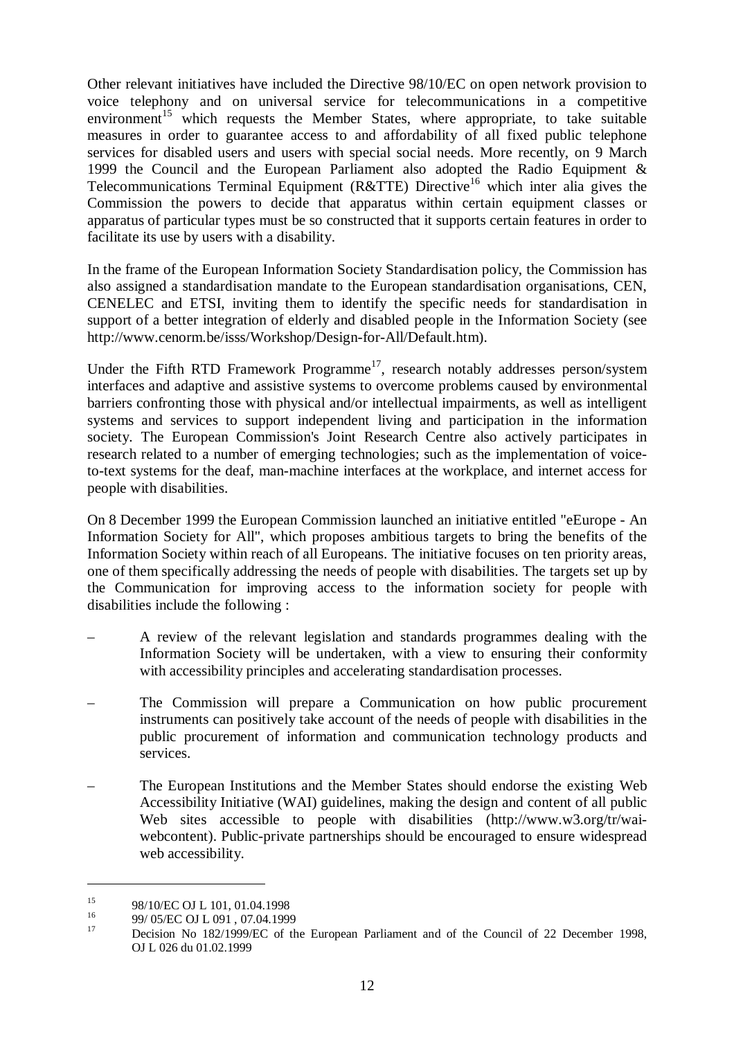Other relevant initiatives have included the Directive 98/10/EC on open network provision to voice telephony and on universal service for telecommunications in a competitive environment<sup>15</sup> which requests the Member States, where appropriate, to take suitable measures in order to guarantee access to and affordability of all fixed public telephone services for disabled users and users with special social needs. More recently, on 9 March 1999 the Council and the European Parliament also adopted the Radio Equipment  $\&$ Telecommunications Terminal Equipment (R&TTE) Directive<sup>16</sup> which inter alia gives the Commission the powers to decide that apparatus within certain equipment classes or apparatus of particular types must be so constructed that it supports certain features in order to facilitate its use by users with a disability.

In the frame of the European Information Society Standardisation policy, the Commission has also assigned a standardisation mandate to the European standardisation organisations, CEN, CENELEC and ETSI, inviting them to identify the specific needs for standardisation in support of a better integration of elderly and disabled people in the Information Society (see http://www.cenorm.be/isss/Workshop/Design-for-All/Default.htm).

Under the Fifth RTD Framework Programme<sup>17</sup>, research notably addresses person/system interfaces and adaptive and assistive systems to overcome problems caused by environmental barriers confronting those with physical and/or intellectual impairments, as well as intelligent systems and services to support independent living and participation in the information society. The European Commission's Joint Research Centre also actively participates in research related to a number of emerging technologies; such as the implementation of voiceto-text systems for the deaf, man-machine interfaces at the workplace, and internet access for people with disabilities.

On 8 December 1999 the European Commission launched an initiative entitled "eEurope - An Information Society for All", which proposes ambitious targets to bring the benefits of the Information Society within reach of all Europeans. The initiative focuses on ten priority areas, one of them specifically addressing the needs of people with disabilities. The targets set up by the Communication for improving access to the information society for people with disabilities include the following :

- A review of the relevant legislation and standards programmes dealing with the Information Society will be undertaken, with a view to ensuring their conformity with accessibility principles and accelerating standardisation processes.
- The Commission will prepare a Communication on how public procurement instruments can positively take account of the needs of people with disabilities in the public procurement of information and communication technology products and services.
- The European Institutions and the Member States should endorse the existing Web Accessibility Initiative (WAI) guidelines, making the design and content of all public Web sites accessible to people with disabilities (http://www.w3.org/tr/waiwebcontent). Public-private partnerships should be encouraged to ensure widespread web accessibility.

<sup>&</sup>lt;sup>15</sup> 98/10/EC OJ L 101, 01.04.1998<br><sup>16</sup> 99/ 05/EC OJ L 091, 07.04.1999<br><sup>17</sup> Decision No 182/1999/EC of the European Parliament and of the Council of 22 December 1998, OJ L 026 du 01.02.1999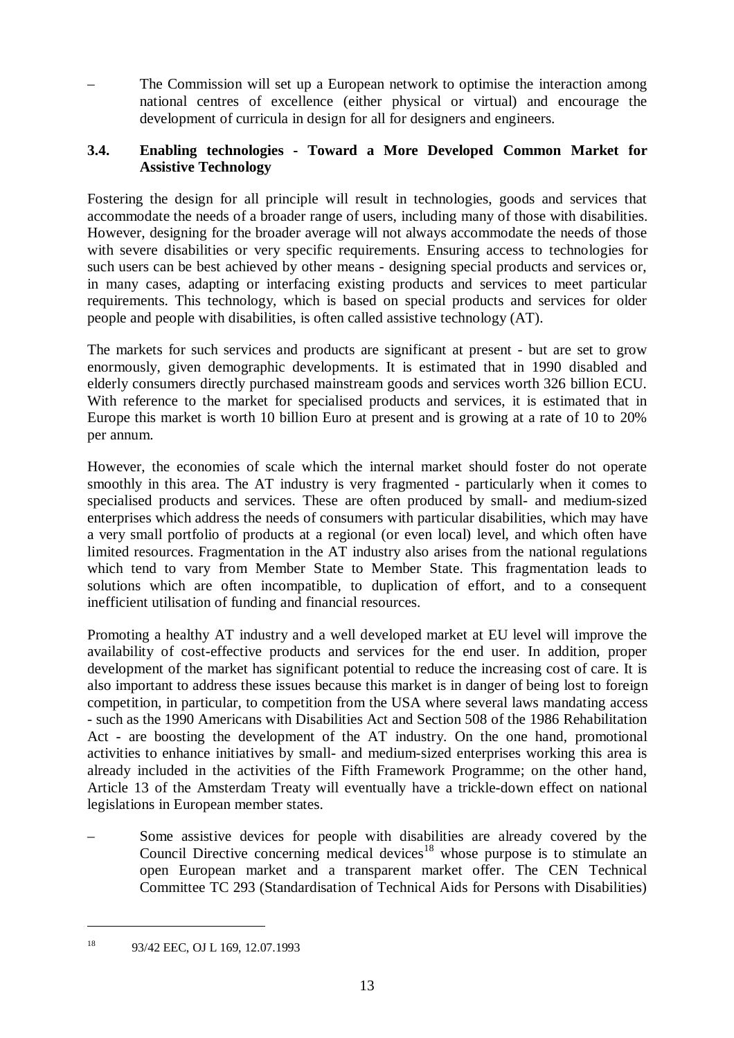– The Commission will set up a European network to optimise the interaction among national centres of excellence (either physical or virtual) and encourage the development of curricula in design for all for designers and engineers.

## **3.4. Enabling technologies - Toward a More Developed Common Market for Assistive Technology**

Fostering the design for all principle will result in technologies, goods and services that accommodate the needs of a broader range of users, including many of those with disabilities. However, designing for the broader average will not always accommodate the needs of those with severe disabilities or very specific requirements. Ensuring access to technologies for such users can be best achieved by other means - designing special products and services or, in many cases, adapting or interfacing existing products and services to meet particular requirements. This technology, which is based on special products and services for older people and people with disabilities, is often called assistive technology (AT).

The markets for such services and products are significant at present - but are set to grow enormously, given demographic developments. It is estimated that in 1990 disabled and elderly consumers directly purchased mainstream goods and services worth 326 billion ECU. With reference to the market for specialised products and services, it is estimated that in Europe this market is worth 10 billion Euro at present and is growing at a rate of 10 to 20% per annum.

However, the economies of scale which the internal market should foster do not operate smoothly in this area. The AT industry is very fragmented - particularly when it comes to specialised products and services. These are often produced by small- and medium-sized enterprises which address the needs of consumers with particular disabilities, which may have a very small portfolio of products at a regional (or even local) level, and which often have limited resources. Fragmentation in the AT industry also arises from the national regulations which tend to vary from Member State to Member State. This fragmentation leads to solutions which are often incompatible, to duplication of effort, and to a consequent inefficient utilisation of funding and financial resources.

Promoting a healthy AT industry and a well developed market at EU level will improve the availability of cost-effective products and services for the end user. In addition, proper development of the market has significant potential to reduce the increasing cost of care. It is also important to address these issues because this market is in danger of being lost to foreign competition, in particular, to competition from the USA where several laws mandating access - such as the 1990 Americans with Disabilities Act and Section 508 of the 1986 Rehabilitation Act - are boosting the development of the AT industry. On the one hand, promotional activities to enhance initiatives by small- and medium-sized enterprises working this area is already included in the activities of the Fifth Framework Programme; on the other hand, Article 13 of the Amsterdam Treaty will eventually have a trickle-down effect on national legislations in European member states.

– Some assistive devices for people with disabilities are already covered by the Council Directive concerning medical devices<sup>18</sup> whose purpose is to stimulate an open European market and a transparent market offer. The CEN Technical Committee TC 293 (Standardisation of Technical Aids for Persons with Disabilities)

<sup>&</sup>lt;sup>18</sup> 93/42 EEC, OJ L 169, 12.07.1993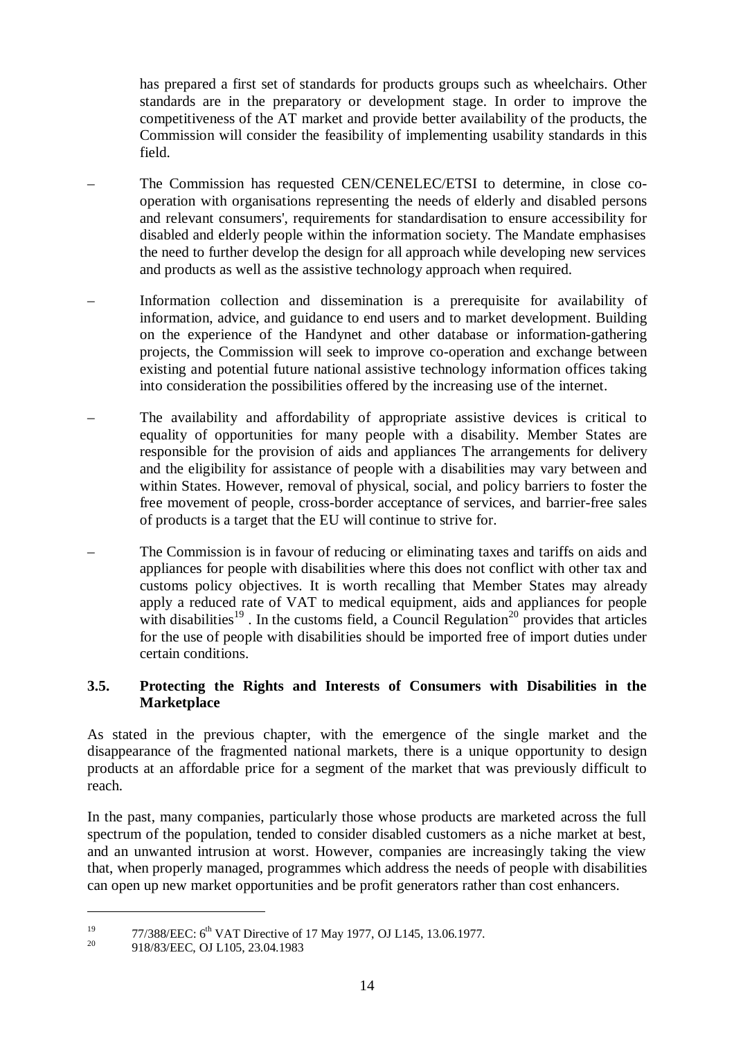has prepared a first set of standards for products groups such as wheelchairs. Other standards are in the preparatory or development stage. In order to improve the competitiveness of the AT market and provide better availability of the products, the Commission will consider the feasibility of implementing usability standards in this field.

- The Commission has requested CEN/CENELEC/ETSI to determine, in close cooperation with organisations representing the needs of elderly and disabled persons and relevant consumers', requirements for standardisation to ensure accessibility for disabled and elderly people within the information society. The Mandate emphasises the need to further develop the design for all approach while developing new services and products as well as the assistive technology approach when required.
- Information collection and dissemination is a prerequisite for availability of information, advice, and guidance to end users and to market development. Building on the experience of the Handynet and other database or information-gathering projects, the Commission will seek to improve co-operation and exchange between existing and potential future national assistive technology information offices taking into consideration the possibilities offered by the increasing use of the internet.
- The availability and affordability of appropriate assistive devices is critical to equality of opportunities for many people with a disability. Member States are responsible for the provision of aids and appliances The arrangements for delivery and the eligibility for assistance of people with a disabilities may vary between and within States. However, removal of physical, social, and policy barriers to foster the free movement of people, cross-border acceptance of services, and barrier-free sales of products is a target that the EU will continue to strive for.
- The Commission is in favour of reducing or eliminating taxes and tariffs on aids and appliances for people with disabilities where this does not conflict with other tax and customs policy objectives. It is worth recalling that Member States may already apply a reduced rate of VAT to medical equipment, aids and appliances for people with disabilities<sup>19</sup>. In the customs field, a Council Regulation<sup>20</sup> provides that articles for the use of people with disabilities should be imported free of import duties under certain conditions.

## **3.5. Protecting the Rights and Interests of Consumers with Disabilities in the Marketplace**

As stated in the previous chapter, with the emergence of the single market and the disappearance of the fragmented national markets, there is a unique opportunity to design products at an affordable price for a segment of the market that was previously difficult to reach.

In the past, many companies, particularly those whose products are marketed across the full spectrum of the population, tended to consider disabled customers as a niche market at best, and an unwanted intrusion at worst. However, companies are increasingly taking the view that, when properly managed, programmes which address the needs of people with disabilities can open up new market opportunities and be profit generators rather than cost enhancers.

<sup>&</sup>lt;sup>19</sup> 77/388/EEC:  $6^{th}$  VAT Directive of 17 May 1977, OJ L145, 13.06.1977.<br><sup>20</sup> 918/83/EEC, OJ L105, 23.04.1983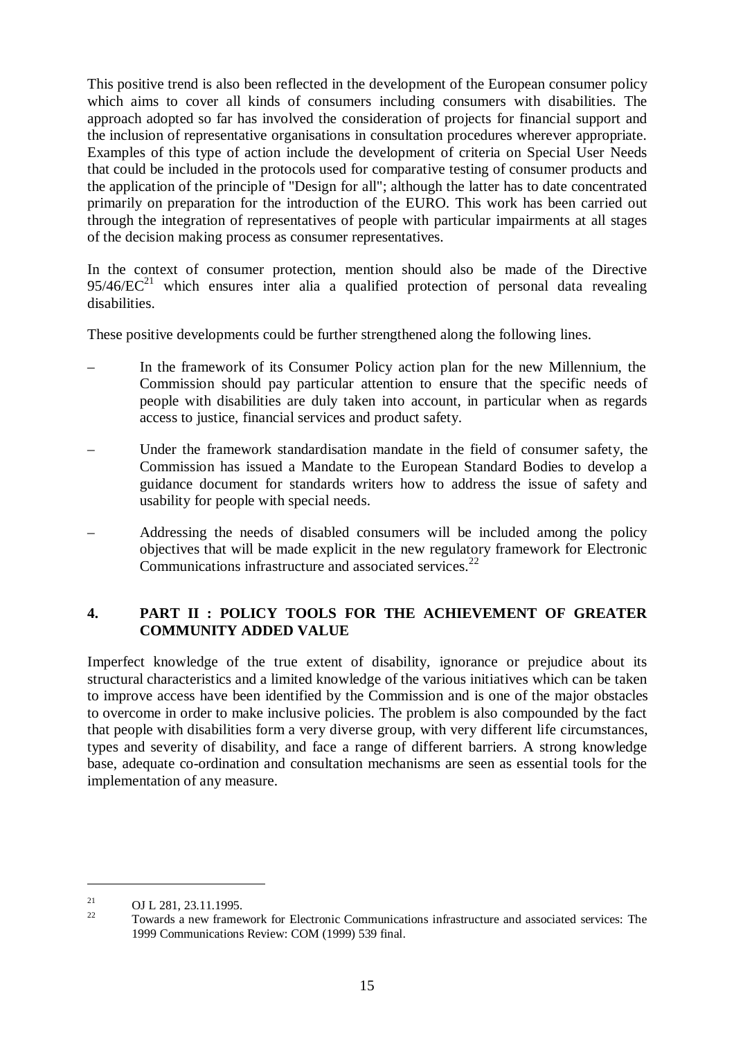This positive trend is also been reflected in the development of the European consumer policy which aims to cover all kinds of consumers including consumers with disabilities. The approach adopted so far has involved the consideration of projects for financial support and the inclusion of representative organisations in consultation procedures wherever appropriate. Examples of this type of action include the development of criteria on Special User Needs that could be included in the protocols used for comparative testing of consumer products and the application of the principle of "Design for all"; although the latter has to date concentrated primarily on preparation for the introduction of the EURO. This work has been carried out through the integration of representatives of people with particular impairments at all stages of the decision making process as consumer representatives.

In the context of consumer protection, mention should also be made of the Directive  $95/46/EC^{21}$  which ensures inter alia a qualified protection of personal data revealing disabilities.

These positive developments could be further strengthened along the following lines.

- In the framework of its Consumer Policy action plan for the new Millennium, the Commission should pay particular attention to ensure that the specific needs of people with disabilities are duly taken into account, in particular when as regards access to justice, financial services and product safety.
- Under the framework standardisation mandate in the field of consumer safety, the Commission has issued a Mandate to the European Standard Bodies to develop a guidance document for standards writers how to address the issue of safety and usability for people with special needs.
- Addressing the needs of disabled consumers will be included among the policy objectives that will be made explicit in the new regulatory framework for Electronic Communications infrastructure and associated services. $^{22}$

## **4. PART II : POLICY TOOLS FOR THE ACHIEVEMENT OF GREATER COMMUNITY ADDED VALUE**

Imperfect knowledge of the true extent of disability, ignorance or prejudice about its structural characteristics and a limited knowledge of the various initiatives which can be taken to improve access have been identified by the Commission and is one of the major obstacles to overcome in order to make inclusive policies. The problem is also compounded by the fact that people with disabilities form a very diverse group, with very different life circumstances, types and severity of disability, and face a range of different barriers. A strong knowledge base, adequate co-ordination and consultation mechanisms are seen as essential tools for the implementation of any measure.

<sup>&</sup>lt;sup>21</sup> OJ L 281, 23.11.1995.<br><sup>22</sup> Towards a new framework for Electronic Communications infrastructure and associated services: The 1999 Communications Review: COM (1999) 539 final.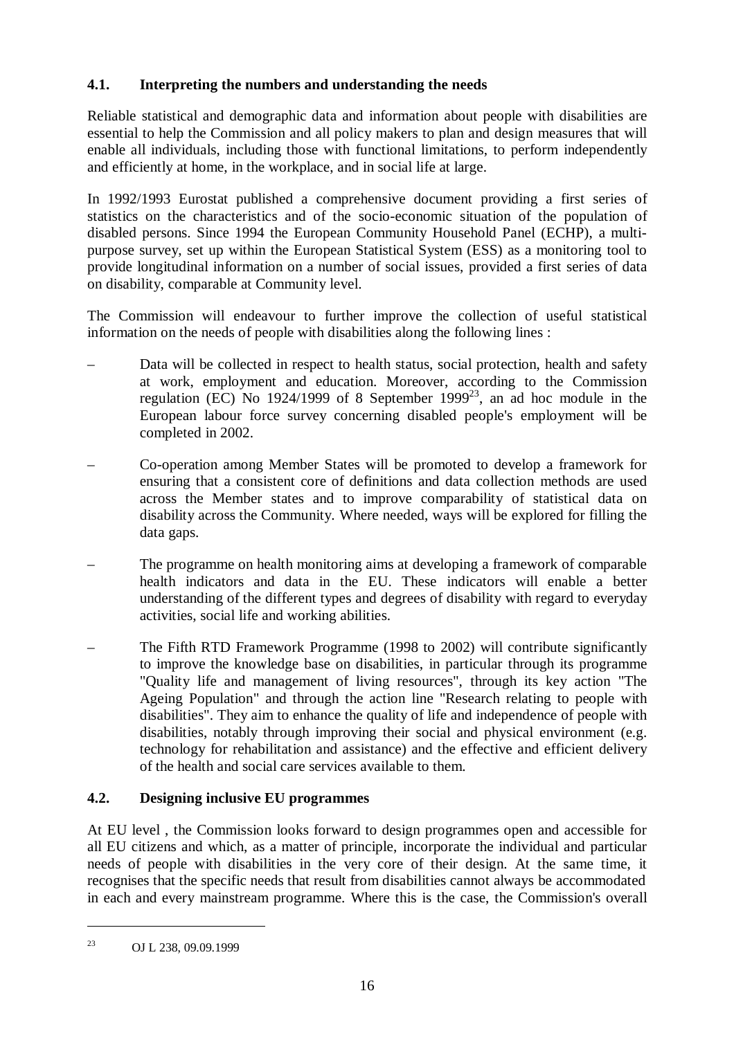# **4.1. Interpreting the numbers and understanding the needs**

Reliable statistical and demographic data and information about people with disabilities are essential to help the Commission and all policy makers to plan and design measures that will enable all individuals, including those with functional limitations, to perform independently and efficiently at home, in the workplace, and in social life at large.

In 1992/1993 Eurostat published a comprehensive document providing a first series of statistics on the characteristics and of the socio-economic situation of the population of disabled persons. Since 1994 the European Community Household Panel (ECHP), a multipurpose survey, set up within the European Statistical System (ESS) as a monitoring tool to provide longitudinal information on a number of social issues, provided a first series of data on disability, comparable at Community level.

The Commission will endeavour to further improve the collection of useful statistical information on the needs of people with disabilities along the following lines :

- Data will be collected in respect to health status, social protection, health and safety at work, employment and education. Moreover, according to the Commission regulation (EC) No 1924/1999 of 8 September 1999<sup>23</sup>, an ad hoc module in the European labour force survey concerning disabled people's employment will be completed in 2002.
- Co-operation among Member States will be promoted to develop a framework for ensuring that a consistent core of definitions and data collection methods are used across the Member states and to improve comparability of statistical data on disability across the Community. Where needed, ways will be explored for filling the data gaps.
- The programme on health monitoring aims at developing a framework of comparable health indicators and data in the EU. These indicators will enable a better understanding of the different types and degrees of disability with regard to everyday activities, social life and working abilities.
- The Fifth RTD Framework Programme (1998 to 2002) will contribute significantly to improve the knowledge base on disabilities, in particular through its programme "Quality life and management of living resources", through its key action "The Ageing Population" and through the action line "Research relating to people with disabilities". They aim to enhance the quality of life and independence of people with disabilities, notably through improving their social and physical environment (e.g. technology for rehabilitation and assistance) and the effective and efficient delivery of the health and social care services available to them.

# **4.2. Designing inclusive EU programmes**

At EU level , the Commission looks forward to design programmes open and accessible for all EU citizens and which, as a matter of principle, incorporate the individual and particular needs of people with disabilities in the very core of their design. At the same time, it recognises that the specific needs that result from disabilities cannot always be accommodated in each and every mainstream programme. Where this is the case, the Commission's overall

<sup>23</sup> OJ L 238, 09.09.1999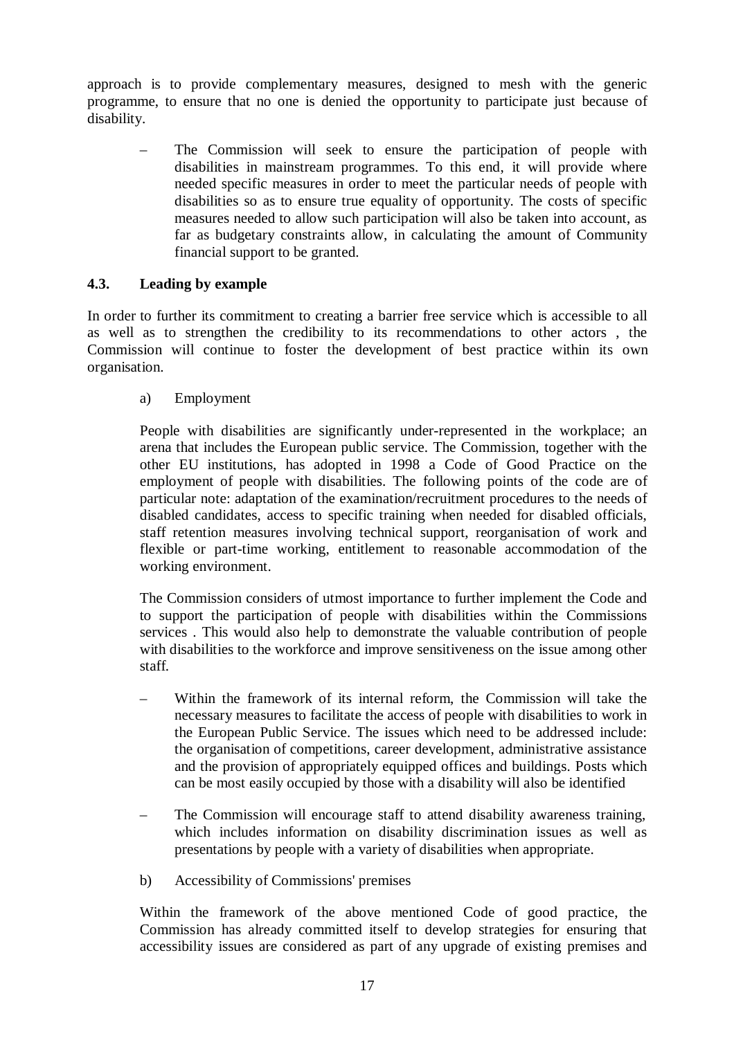approach is to provide complementary measures, designed to mesh with the generic programme, to ensure that no one is denied the opportunity to participate just because of disability.

The Commission will seek to ensure the participation of people with disabilities in mainstream programmes. To this end, it will provide where needed specific measures in order to meet the particular needs of people with disabilities so as to ensure true equality of opportunity. The costs of specific measures needed to allow such participation will also be taken into account, as far as budgetary constraints allow, in calculating the amount of Community financial support to be granted.

#### **4.3. Leading by example**

In order to further its commitment to creating a barrier free service which is accessible to all as well as to strengthen the credibility to its recommendations to other actors , the Commission will continue to foster the development of best practice within its own organisation.

a) Employment

People with disabilities are significantly under-represented in the workplace; an arena that includes the European public service. The Commission, together with the other EU institutions, has adopted in 1998 a Code of Good Practice on the employment of people with disabilities. The following points of the code are of particular note: adaptation of the examination/recruitment procedures to the needs of disabled candidates, access to specific training when needed for disabled officials, staff retention measures involving technical support, reorganisation of work and flexible or part-time working, entitlement to reasonable accommodation of the working environment.

The Commission considers of utmost importance to further implement the Code and to support the participation of people with disabilities within the Commissions services . This would also help to demonstrate the valuable contribution of people with disabilities to the workforce and improve sensitiveness on the issue among other staff.

- Within the framework of its internal reform, the Commission will take the necessary measures to facilitate the access of people with disabilities to work in the European Public Service. The issues which need to be addressed include: the organisation of competitions, career development, administrative assistance and the provision of appropriately equipped offices and buildings. Posts which can be most easily occupied by those with a disability will also be identified
- The Commission will encourage staff to attend disability awareness training, which includes information on disability discrimination issues as well as presentations by people with a variety of disabilities when appropriate.
- b) Accessibility of Commissions' premises

Within the framework of the above mentioned Code of good practice, the Commission has already committed itself to develop strategies for ensuring that accessibility issues are considered as part of any upgrade of existing premises and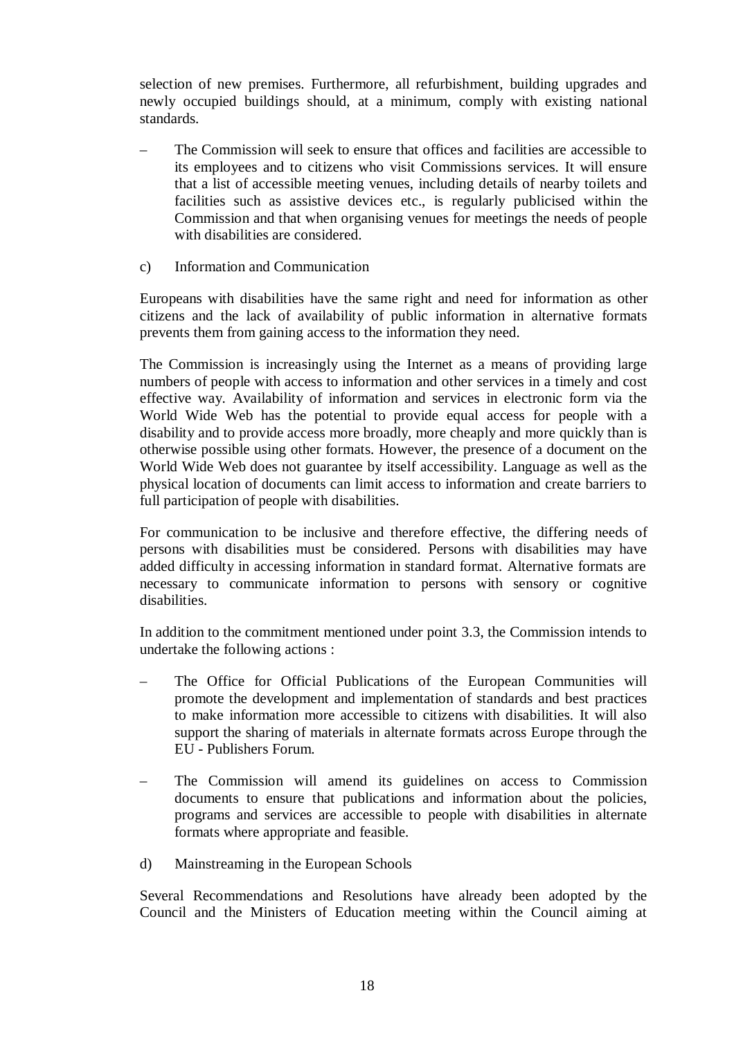selection of new premises. Furthermore, all refurbishment, building upgrades and newly occupied buildings should, at a minimum, comply with existing national standards.

- The Commission will seek to ensure that offices and facilities are accessible to its employees and to citizens who visit Commissions services. It will ensure that a list of accessible meeting venues, including details of nearby toilets and facilities such as assistive devices etc., is regularly publicised within the Commission and that when organising venues for meetings the needs of people with disabilities are considered.
- c) Information and Communication

Europeans with disabilities have the same right and need for information as other citizens and the lack of availability of public information in alternative formats prevents them from gaining access to the information they need.

The Commission is increasingly using the Internet as a means of providing large numbers of people with access to information and other services in a timely and cost effective way. Availability of information and services in electronic form via the World Wide Web has the potential to provide equal access for people with a disability and to provide access more broadly, more cheaply and more quickly than is otherwise possible using other formats. However, the presence of a document on the World Wide Web does not guarantee by itself accessibility. Language as well as the physical location of documents can limit access to information and create barriers to full participation of people with disabilities.

For communication to be inclusive and therefore effective, the differing needs of persons with disabilities must be considered. Persons with disabilities may have added difficulty in accessing information in standard format. Alternative formats are necessary to communicate information to persons with sensory or cognitive disabilities.

In addition to the commitment mentioned under point 3.3, the Commission intends to undertake the following actions :

- The Office for Official Publications of the European Communities will promote the development and implementation of standards and best practices to make information more accessible to citizens with disabilities. It will also support the sharing of materials in alternate formats across Europe through the EU - Publishers Forum.
- The Commission will amend its guidelines on access to Commission documents to ensure that publications and information about the policies, programs and services are accessible to people with disabilities in alternate formats where appropriate and feasible.
- d) Mainstreaming in the European Schools

Several Recommendations and Resolutions have already been adopted by the Council and the Ministers of Education meeting within the Council aiming at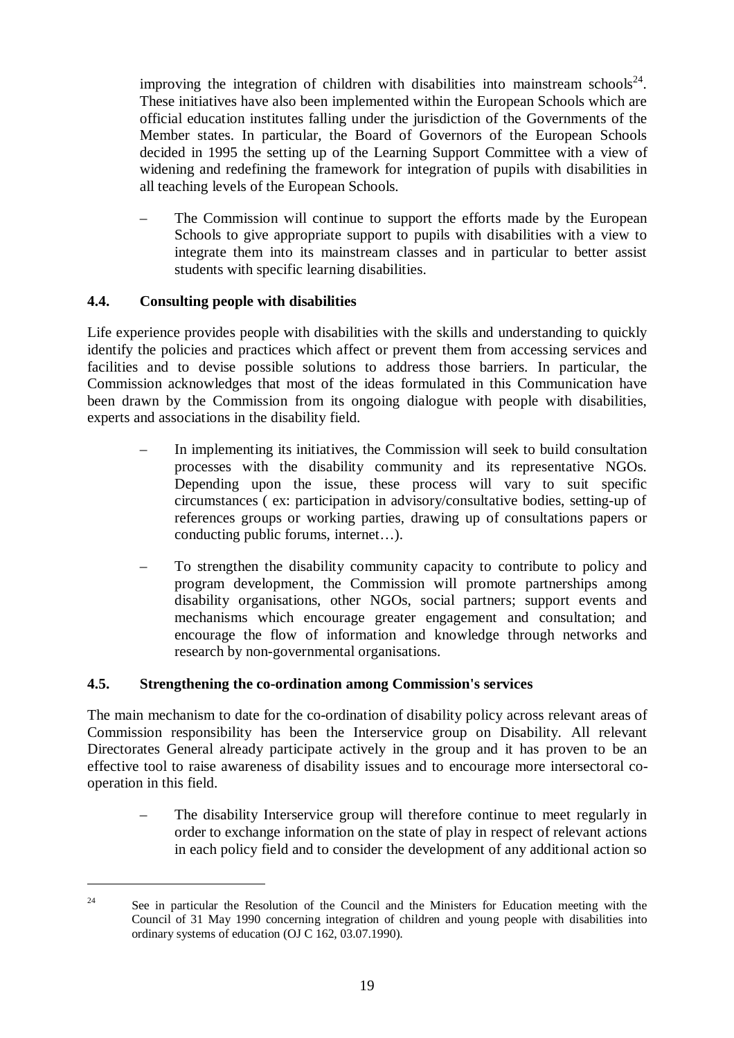improving the integration of children with disabilities into mainstream schools<sup>24</sup>. These initiatives have also been implemented within the European Schools which are official education institutes falling under the jurisdiction of the Governments of the Member states. In particular, the Board of Governors of the European Schools decided in 1995 the setting up of the Learning Support Committee with a view of widening and redefining the framework for integration of pupils with disabilities in all teaching levels of the European Schools.

The Commission will continue to support the efforts made by the European Schools to give appropriate support to pupils with disabilities with a view to integrate them into its mainstream classes and in particular to better assist students with specific learning disabilities.

## **4.4. Consulting people with disabilities**

Life experience provides people with disabilities with the skills and understanding to quickly identify the policies and practices which affect or prevent them from accessing services and facilities and to devise possible solutions to address those barriers. In particular, the Commission acknowledges that most of the ideas formulated in this Communication have been drawn by the Commission from its ongoing dialogue with people with disabilities, experts and associations in the disability field.

- In implementing its initiatives, the Commission will seek to build consultation processes with the disability community and its representative NGOs. Depending upon the issue, these process will vary to suit specific circumstances ( ex: participation in advisory/consultative bodies, setting-up of references groups or working parties, drawing up of consultations papers or conducting public forums, internet…).
- To strengthen the disability community capacity to contribute to policy and program development, the Commission will promote partnerships among disability organisations, other NGOs, social partners; support events and mechanisms which encourage greater engagement and consultation; and encourage the flow of information and knowledge through networks and research by non-governmental organisations.

#### **4.5. Strengthening the co-ordination among Commission's services**

The main mechanism to date for the co-ordination of disability policy across relevant areas of Commission responsibility has been the Interservice group on Disability. All relevant Directorates General already participate actively in the group and it has proven to be an effective tool to raise awareness of disability issues and to encourage more intersectoral cooperation in this field.

– The disability Interservice group will therefore continue to meet regularly in order to exchange information on the state of play in respect of relevant actions in each policy field and to consider the development of any additional action so

<sup>&</sup>lt;sup>24</sup> See in particular the Resolution of the Council and the Ministers for Education meeting with the Council of 31 May 1990 concerning integration of children and young people with disabilities into ordinary systems of education (OJ C 162, 03.07.1990).